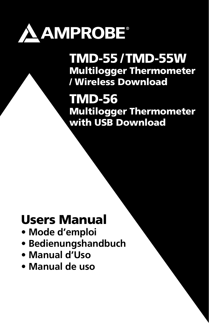

TMD-55 / TMD-55W Multilogger Thermometer / Wireless Download

TMD-56 Multilogger Thermometer with USB Download

# Users Manual

- **Mode d'emploi**
- **Bedienungshandbuch**
- **Manual d'Uso**
- **Manual de uso**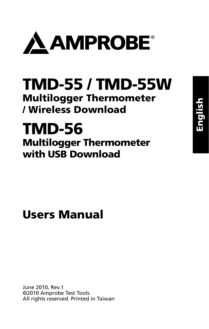

# TMD-55 / TMD-55W Multilogger Thermometer / Wireless Download

# TMD-56 Multilogger Thermometer with USB Download

# Users Manual

June 2010, Rev.1 ©2010 Amprobe Test Tools. All rights reserved. Printed in Taiwan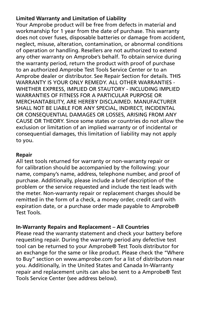#### **Limited Warranty and Limitation of Liability**

Your Amprobe product will be free from defects in material and workmanship for 1 year from the date of purchase. This warranty does not cover fuses, disposable batteries or damage from accident, neglect, misuse, alteration, contamination, or abnormal conditions of operation or handling. Resellers are not authorized to extend any other warranty on Amprobe's behalf. To obtain service during the warranty period, return the product with proof of purchase to an authorized Amprobe Test Tools Service Center or to an Amprobe dealer or distributor. See Repair Section for details. THIS WARRANTY IS YOUR ONLY REMEDY. ALL OTHER WARRANTIES - WHETHER EXPRESS, IMPLIED OR STAUTORY - INCLUDING IMPLIED WARRANTIES OF FITNESS FOR A PARTICULAR PURPOSE OR MERCHANTABILITY, ARE HEREBY DISCLAIMED. MANUFACTURER SHALL NOT BE LIABLE FOR ANY SPECIAL, INDIRECT, INCIDENTAL OR CONSEQUENTIAL DAMAGES OR LOSSES, ARISING FROM ANY CAUSE OR THEORY. Since some states or countries do not allow the exclusion or limitation of an implied warranty or of incidental or consequential damages, this limitation of liability may not apply to you.

#### **Repair**

All test tools returned for warranty or non-warranty repair or for calibration should be accompanied by the following: your name, company's name, address, telephone number, and proof of purchase. Additionally, please include a brief description of the problem or the service requested and include the test leads with the meter. Non-warranty repair or replacement charges should be remitted in the form of a check, a money order, credit card with expiration date, or a purchase order made payable to Amprobe® Test Tools.

#### **In-Warranty Repairs and Replacement – All Countries**

Please read the warranty statement and check your battery before requesting repair. During the warranty period any defective test tool can be returned to your Amprobe® Test Tools distributor for an exchange for the same or like product. Please check the "Where to Buy" section on www.amprobe.com for a list of distributors near you. Additionally, in the United States and Canada In-Warranty repair and replacement units can also be sent to a Amprobe® Test Tools Service Center (see address below).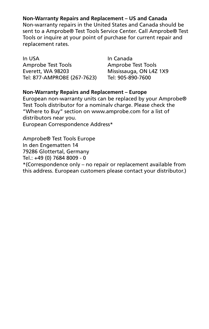**Non-Warranty Repairs and Replacement – US and Canada**

Non-warranty repairs in the United States and Canada should be sent to a Amprobe® Test Tools Service Center. Call Amprobe® Test Tools or inquire at your point of purchase for current repair and replacement rates.

In USA **In Canada** Amprobe Test Tools<br>
Everett. WA 98203 Mississauga. ON L4Z Tel: 877-AMPROBE (267-7623) Tel: 905-890-7600

Mississauga, ON L4Z 1X9

#### **Non-Warranty Repairs and Replacement – Europe**

European non-warranty units can be replaced by your Amprobe® Test Tools distributor for a nominalv charge. Please check the "Where to Buy" section on www.amprobe.com for a list of distributors near you. European Correspondence Address\*

Amprobe® Test Tools Europe In den Engematten 14 79286 Glottertal, Germany Tel.: +49 (0) 7684 8009 - 0 \*(Correspondence only – no repair or replacement available from this address. European customers please contact your distributor.)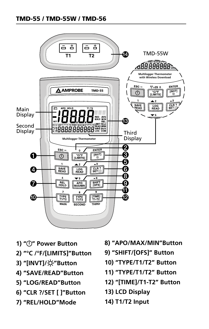#### TMD-55 / TMD-55W / TMD-56



- **1) " " Power Button**
- **2) "°C /°F/[LIMITS]"Button**
- **3) "[INVT]/ "Button**
- **4) "SAVE/READ"Button**
- **5) "LOG/READ"Button**
- **6) "CLR ?/SET [ ]"Button**
- **7) "REL/HOLD"Mode**
- **8) "APO/MAX/MIN"Button**
- **9) "SHIFT/[OFS]" Button**
- **10) "TYPE/T1/T2" Button**
- **11) "TYPE/T1/T2" Button**
- **12) "[TIME]/T1-T2" Button**
- **13) LCD Display**
- **14) T1/T2 Input**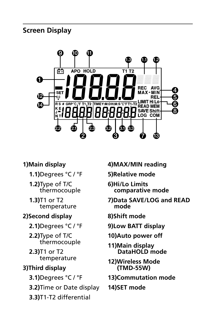**Screen Display**



#### **1)Main display**

- **1.1)**Degrees °C / °F
- **1.2)**Type of T/C thermocouple
- **1.3)**T1 or T2 temperature

#### **2)Second display**

- **2.1)**Degrees °C / °F
- **2.2)**Type of T/C thermocouple

**2.3)**T1 or T2 temperature

### **3)Third display**

- **3.1)**Degrees °C / °F
- **3.2)**Time or Date display
- **3.3)**T1-T2 differential
- **4)MAX/MIN reading**
- **5)Relative mode**
- **6)Hi/Lo Limits comparative mode**
- **7)Data SAVE/LOG and READ mode**
- **8)Shift mode**
- **9)Low BATT display**
- **10)Auto power off**
- **11)Main display DataHOLD mode**
- **12)Wireless Mode (TMD-55W)**
- **13)Commutation mode**
- **14)SET mode**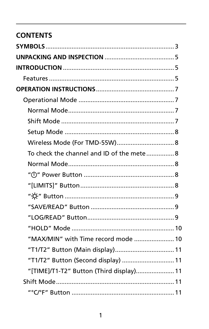# **CONTENTS**

| To check the channel and ID of the mete 8 |  |
|-------------------------------------------|--|
|                                           |  |
|                                           |  |
|                                           |  |
|                                           |  |
|                                           |  |
|                                           |  |
|                                           |  |
| "MAX/MIN" with Time record mode  10       |  |
| "T1/T2" Button (Main display) 11          |  |
| "T1/T2" Button (Second display)  11       |  |
| "[TIME]/T1-T2" Button (Third display) 11  |  |
|                                           |  |
|                                           |  |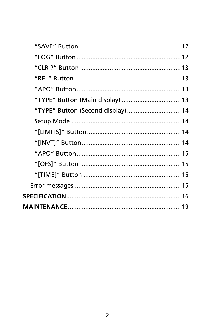| "TYPE" Button (Main display)  13  |  |
|-----------------------------------|--|
| "TYPE" Button (Second display) 14 |  |
|                                   |  |
|                                   |  |
|                                   |  |
|                                   |  |
|                                   |  |
|                                   |  |
|                                   |  |
|                                   |  |
|                                   |  |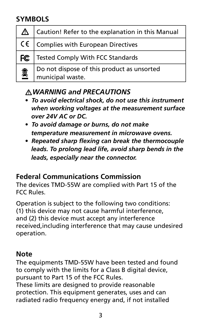## **SYMBOLS**

| △  | Caution! Refer to the explanation in this Manual               |
|----|----------------------------------------------------------------|
|    | $C \in \mathcal{C}$ Complies with European Directives          |
| FC | Tested Comply With FCC Standards                               |
| ▩  | Do not dispose of this product as unsorted<br>municipal waste. |

## �*WARNING and PRECAUTIONS*

- *To avoid electrical shock, do not use this instrument when working voltages at the measurement surface over 24V AC or DC.*
- *To avoid damage or burns, do not make temperature measurement in microwave ovens.*
- *Repeated sharp flexing can break the thermocouple leads. To prolong lead life, avoid sharp bends in the leads, especially near the connector.*

## **Federal Communications Commission**

The devices TMD-55W are complied with Part 15 of the FCC Rules.

Operation is subject to the following two conditions: (1) this device may not cause harmful interference, and (2) this device must accept any interference received,including interference that may cause undesired operation.

## **Note**

The equipments TMD-55W have been tested and found to comply with the limits for a Class B digital device, pursuant to Part 15 of the FCC Rules.

These limits are designed to provide reasonable protection. This equipment generates, uses and can radiated radio frequency energy and, if not installed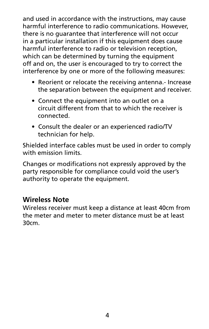and used in accordance with the instructions, may cause harmful interference to radio communications. However, there is no guarantee that interference will not occur in a particular installation if this equipment does cause harmful interference to radio or television reception, which can be determined by turning the equipment off and on, the user is encouraged to try to correct the interference by one or more of the following measures:

- Reorient or relocate the receiving antenna.- Increase the separation between the equipment and receiver.
- Connect the equipment into an outlet on a circuit different from that to which the receiver is connected.
- Consult the dealer or an experienced radio/TV technician for help.

Shielded interface cables must be used in order to comply with emission limits.

Changes or modifications not expressly approved by the party responsible for compliance could void the user's authority to operate the equipment.

## **Wireless Note**

Wireless receiver must keep a distance at least 40cm from the meter and meter to meter distance must be at least 30cm.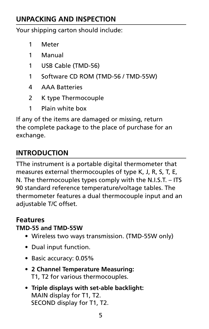## **Unpacking and Inspection**

Your shipping carton should include:

- 1 Meter
- 1 Manual
- 1 USB Cable (TMD-56)
- 1 Software CD ROM (TMD-56 / TMD-55W)
- 4 AAA Batteries
- 2 K type Thermocouple
- 1 Plain white box

If any of the items are damaged or missing, return the complete package to the place of purchase for an exchange.

## **INTRODUCTION**

TThe instrument is a portable digital thermometer that measures external thermocouples of type K, J, R, S, T, E, N. The thermocouples types comply with the N.I.S.T. – ITS 90 standard reference temperature/voltage tables. The thermometer features a dual thermocouple input and an adjustable T/C offset.

## **Features**

#### **TMD-55 and TMD-55W**

- Wireless two ways transmission. (TMD-55W only)
- Dual input function.
- Basic accuracy: 0.05%
- **2 Channel Temperature Measuring:** T1, T2 for various thermocouples.
- **Triple displays with set-able backlight:** MAIN display for T1, T2. SECOND display for T1, T2.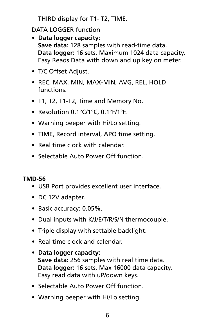THIRD display for T1- T2, TIME.

DATA LOGGER function

- **Data logger capacity: Save data:** 128 samples with read-time data. **Data logger:** 16 sets, Maximum 1024 data capacity. Easy Reads Data with down and up key on meter.
- T/C Offset Adjust.
- REC, MAX, MIN, MAX-MIN, AVG, REL, HOLD functions.
- T1, T2, T1-T2, Time and Memory No.
- Resolution 0.1°C/1°C, 0.1°F/1°F.
- Warning beeper with Hi/Lo setting.
- TIME, Record interval, APO time setting.
- Real time clock with calendar.
- Selectable Auto Power Off function.

#### **TMD-56**

- USB Port provides excellent user interface.
- DC 12V adapter.
- Basic accuracy: 0.05%.
- Dual inputs with K/J/E/T/R/S/N thermocouple.
- Triple display with settable backlight.
- Real time clock and calendar.
- **Data logger capacity: Save data:** 256 samples with real time data. **Data logger:** 16 sets, Max 16000 data capacity. Easy read data with uP/down keys.
- Selectable Auto Power Off function.
- Warning beeper with Hi/Lo setting.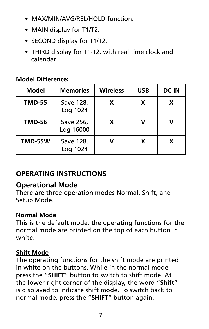- MAX/MIN/AVG/REL/HOLD function.
- MAIN display for T1/T2.
- SECOND display for T1/T2.
- THIRD display for T1-T2, with real time clock and calendar.

#### **Model Difference:**

| Model          | <b>Memories</b>        | <b>Wireless</b> | <b>USB</b> | <b>DC IN</b> |
|----------------|------------------------|-----------------|------------|--------------|
| <b>TMD-55</b>  | Save 128,<br>Log 1024  | x               | x          | X            |
| <b>TMD-56</b>  | Save 256,<br>Log 16000 | x               |            | ν            |
| <b>TMD-55W</b> | Save 128,<br>Log 1024  |                 | x          | x            |

## **OPERATING INSTRUCTIONS**

#### **Operational Mode**

There are three operation modes-Normal, Shift, and Setup Mode.

#### **Normal Mode**

This is the default mode, the operating functions for the normal mode are printed on the top of each button in white.

#### **Shift Mode**

The operating functions for the shift mode are printed in white on the buttons. While in the normal mode, press the "**SHIFT**" button to switch to shift mode. At the lower-right corner of the display, the word "**Shift**" is displayed to indicate shift mode. To switch back to normal mode, press the "**SHIFT**" button again.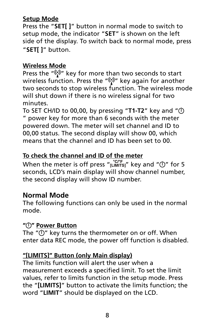#### **Setup Mode**

Press the "**SET[ ]**" button in normal mode to switch to setup mode, the indicator "**SET**" is shown on the left side of the display. To switch back to normal mode, press "**SET[ ]**" button.

#### **Wireless Mode**

Press the " $\binom{n}{k}$ " key for more than two seconds to start wireless function. Press the "(v)" key again for another two seconds to stop wireless function. The wireless mode will shut down if there is no wireless signal for two minutes.

To SET CH/ID to 00,00, by pressing "**T1-T2**" key and " " power key for more than 6 seconds with the meter powered down. The meter will set channel and ID to 00,00 status. The second display will show 00, which means that the channel and ID has been set to 00.

#### **To check the channel and ID of the meter**

When the meter is off press " $\frac{C^{\text{CF}}}{L}$ " key and " $\bigcirc$ " for 5 seconds, LCD's main display will show channel number, the second display will show ID number.

## **Normal Mode**

The following functions can only be used in the normal mode.

#### **" " Power Button**

The  $"$  $\mathbb{O}"$  key turns the thermometer on or off. When enter data REC mode, the power off function is disabled.

#### **"[LIMITS]" Button (only Main display)**

The limits function will alert the user when a measurement exceeds a specified limit. To set the limit values, refer to limits function in the setup mode. Press the "**[LIMITS]**" button to activate the limits function; the word "**LIMIT**" should be displayed on the LCD.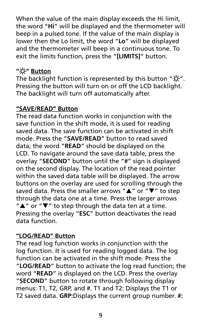When the value of the main display exceeds the Hi limit. the word "**Hi**" will be displayed and the thermometer will beep in a pulsed tone. If the value of the main display is lower then the Lo limit, the word "**Lo**" will be displayed and the thermometer will beep in a continuous tone. To exit the limits function, press the "**[LIMITS]**" button.

#### **" " Button**

The backlight function is represented by this button " $\alpha$ ". Pressing the button will turn on or off the LCD backlight. The backlight will turn off automatically after.

#### **"SAVE/READ" Button**

The read data function works in conjunction with the save function in the shift mode, it is used for reading saved data. The save function can be activated in shift mode. Press the "**SAVE/READ**" button to read saved data; the word "**READ**" should be displayed on the LCD. To navigate around the save data table, press the overlay "**SECOND**" button until the "**#**" sign is displayed on the second display. The location of the read pointer within the saved data table will be displayed. The arrow buttons on the overlay are used for scrolling through the saved data. Press the smaller arrows " $\blacktriangle$ " or " $\nabla$ " to step through the data one at a time. Press the larger arrows  $"\triangle"$  or " $\nabla"$  to step through the data ten at a time. Pressing the overlay "**ESC**" button deactivates the read data function.

#### **"LOG/READ" Button**

The read log function works in conjunction with the log function. It is used for reading logged data. The log function can be activated in the shift mode. Press the "**LOG/READ**" button to activate the log read function; the word "**READ**" is displayed on the LCD. Press the overlay "**SECOND**" button to rotate through following display menus: T1, T2, GRP, and #. T1 and T2: Displays the T1 or T2 saved data. **GRP:**Displays the current group number. **#:**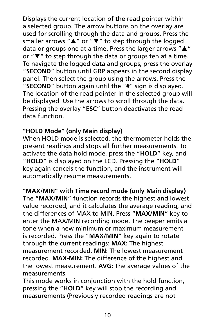Displays the current location of the read pointer within a selected group. The arrow buttons on the overlay are used for scrolling through the data and groups. Press the smaller arrows " $\blacktriangle$ " or " $\nabla$ " to step through the logged data or groups one at a time. Press the larger arrows " $\blacktriangle$ " or  $\mathbf{w}$  to step through the data or groups ten at a time. To navigate the logged data and groups, press the overlay "**SECOND**" button until GRP appears in the second display panel. Then select the group using the arrows. Press the "**SECOND**" button again until the "**#**" sign is displayed. The location of the read pointer in the selected group will be displayed. Use the arrows to scroll through the data. Pressing the overlay "**ESC**" button deactivates the read data function.

#### **"HOLD Mode" (only Main display)**

When HOLD mode is selected, the thermometer holds the present readings and stops all further measurements. To activate the data hold mode, press the "**HOLD**" key, and "**HOLD**" is displayed on the LCD. Pressing the "**HOLD**" key again cancels the function, and the instrument will automatically resume measurements.

#### **"MAX/MIN" with Time record mode (only Main display)**

The "**MAX/MIN**" function records the highest and lowest value recorded, and it calculates the average reading, and the differences of MAX to MIN. Press "**MAX/MIN**" key to enter the MAX/MIN recording mode. The beeper emits a tone when a new minimum or maximum measurement is recorded. Press the "**MAX/MIN**" key again to rotate through the current readings: **MAX:** The highest measurement recorded. **MIN:** The lowest measurement recorded. **MAX-MIN:** The difference of the highest and the lowest measurement. **AVG:** The average values of the measurements.

This mode works in conjunction with the hold function, pressing the "**HOLD**" key will stop the recording and measurements (Previously recorded readings are not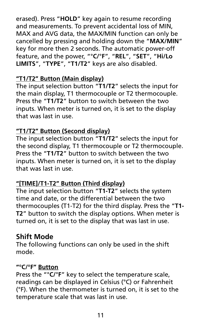erased). Press "**HOLD**" key again to resume recording and measurements. To prevent accidental loss of MIN, MAX and AVG data, the MAX/MIN function can only be cancelled by pressing and holding down the "**MAX/MIN**" key for more then 2 seconds. The automatic power-off feature, and the power, "°**C/**°**F**", "**REL**", "**SET**", "**Hi/Lo LIMITS**", "**TYPE**", "**T1/T2**" keys are also disabled.

#### **"T1/T2" Button (Main display)**

The input selection button "**T1/T2**" selects the input for the main display, T1 thermocouple or T2 thermocouple. Press the "**T1/T2**" button to switch between the two inputs. When meter is turned on, it is set to the display that was last in use.

### **"T1/T2" Button (Second display)**

The input selection button "**T1/T2**" selects the input for the second display, T1 thermocouple or T2 thermocouple. Press the "**T1/T2**" button to switch between the two inputs. When meter is turned on, it is set to the display that was last in use.

#### **"[TIME]/T1-T2" Button (Third display)**

The input selection button "**T1-T2**" selects the system time and date, or the differential between the two thermocouples (T1-T2) for the third display. Press the "**T1- T2**" button to switch the display options. When meter is turned on, it is set to the display that was last in use.

## **Shift Mode**

The following functions can only be used in the shift mode.

#### **"°C/°F" Button**

Press the "°**C/**°**F**" key to select the temperature scale, readings can be displayed in Celsius (°C) or Fahrenheit (°F). When the thermometer is turned on, it is set to the temperature scale that was last in use.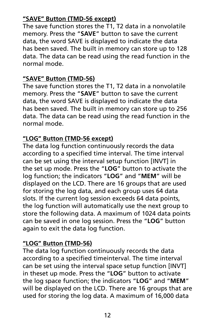#### **"SAVE" Button (TMD-56 except)**

The save function stores the T1, T2 data in a nonvolatile memory. Press the "**SAVE**" button to save the current data, the word SAVE is displayed to indicate the data has been saved. The built in memory can store up to 128 data. The data can be read using the read function in the normal mode.

#### **"SAVE" Button (TMD-56)**

The save function stores the T1, T2 data in a nonvolatile memory. Press the "**SAVE**" button to save the current data, the word SAVE is displayed to indicate the data has been saved. The built in memory can store up to 256 data. The data can be read using the read function in the normal mode.

#### **"LOG" Button (TMD-56 except)**

The data log function continuously records the data according to a specified time interval. The time interval can be set using the interval setup function [INVT] in the set up mode. Press the "**LOG**" button to activate the log function; the indicators "**LOG**" and "**MEM**" will be displayed on the LCD. There are 16 groups that are used for storing the log data, and each group uses 64 data slots. If the current log session exceeds 64 data points, the log function will automatically use the next group to store the following data. A maximum of 1024 data points can be saved in one log session. Press the "**LOG**" button again to exit the data log function.

#### **"LOG" Button (TMD-56)**

The data log function continuously records the data according to a specified timeinterval. The time interval can be set using the interval space setup function [INVT] in theset up mode. Press the "**LOG**" button to activate the log space function; the indicators "**LOG**" and "**MEM**" will be displayed on the LCD. There are 16 groups that are used for storing the log data. A maximum of 16,000 data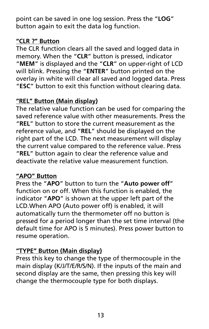point can be saved in one log session. Press the "**LOG**" button again to exit the data log function.

#### **"CLR ?" Button**

The CLR function clears all the saved and logged data in memory. When the "**CLR**" button is pressed, indicator "**MEM**" is displayed and the "**CLR**" on upper-right of LCD will blink. Pressing the "**ENTER**" button printed on the overlay in white will clear all saved and logged data. Press "**ESC**" button to exit this function without clearing data.

### **"REL" Button (Main display)**

The relative value function can be used for comparing the saved reference value with other measurements. Press the "**REL**" button to store the current measurement as the reference value, and "**REL**" should be displayed on the right part of the LCD. The next measurement will display the current value compared to the reference value. Press "**REL**" button again to clear the reference value and deactivate the relative value measurement function.

#### **"APO" Button**

Press the "**APO**" button to turn the "**Auto power off**" function on or off. When this function is enabled, the indicator "**APO**" is shown at the upper left part of the LCD.When APO (Auto power off) is enabled, it will automatically turn the thermometer off no button is pressed for a period longer than the set time interval (the default time for APO is 5 minutes). Press power button to resume operation.

## **"TYPE" Button (Main display)**

Press this key to change the type of thermocouple in the main display (K/J/T/E/R/S/N). If the inputs of the main and second display are the same, then pressing this key will change the thermocouple type for both displays.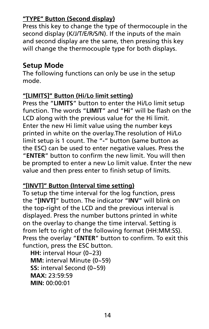#### **"TYPE" Button (Second display)**

Press this key to change the type of thermocouple in the second display (K/J/T/E/R/S/N). If the inputs of the main and second display are the same, then pressing this key will change the thermocouple type for both displays.

## **Setup Mode**

The following functions can only be use in the setup mode.

#### **"[LIMITS]" Button (Hi/Lo limit setting)**

Press the "**LIMITS**" button to enter the Hi/Lo limit setup function. The words "**LIMIT**" and "**Hi**" will be flash on the LCD along with the previous value for the Hi limit. Enter the new Hi limit value using the number keys printed in white on the overlay.The resolution of Hi/Lo limit setup is 1 count. The "**-**" button (same button as the ESC) can be used to enter negative values. Press the "**ENTER**" button to confirm the new limit. You will then be prompted to enter a new Lo limit value. Enter the new value and then press enter to finish setup of limits.

#### **"[INVT]" Button (Interval time setting)**

To setup the time interval for the log function, press the "**[INVT]**" button. The indicator "**INV**" will blink on the top-right of the LCD and the previous interval is displayed. Press the number buttons printed in white on the overlay to change the time interval. Setting is from left to right of the following format (HH:MM:SS). Press the overlay "**ENTER**" button to confirm. To exit this function, press the ESC button.

**HH:** interval Hour (0~23) **MM:** interval Minute (0~59) **SS:** interval Second (0~59) **MAX:** 23:59:59 **MIN:** 00:00:01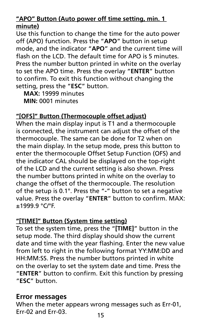#### **"APO" Button (Auto power off time setting, min. 1 minute)**

Use this function to change the time for the auto power off (APO) function. Press the "**APO**" button in setup mode, and the indicator "**APO**" and the current time will flash on the LCD. The default time for APO is 5 minutes. Press the number button printed in white on the overlay to set the APO time. Press the overlay "**ENTER**" button to confirm. To exit this function without changing the setting, press the "**ESC**" button.

**MAX:** 19999 minutes **MIN:** 0001 minutes

#### **"[OFS]" Button (Thermocouple offset adjust)**

When the main display input is T1 and a thermocouple is connected, the instrument can adjust the offset of the thermocouple. The same can be done for T2 when on the main display. In the setup mode, press this button to enter the thermocouple Offset Setup Function (OFS) and the indicator CAL should be displayed on the top-right of the LCD and the current setting is also shown. Press the number buttons printed in white on the overlay to change the offset of the thermocouple. The resolution of the setup is 0.1°. Press the "**-**" button to set a negative value. Press the overlay "**ENTER**" button to confirm. MAX: ±1999.9 °C/°F.

### **"[TIME]" Button (System time setting)**

To set the system time, press the "**[TIME]**" button in the setup mode. The third display should show the current date and time with the year flashing. Enter the new value from left to right in the following format YY:MM:DD and HH:MM:SS. Press the number buttons printed in white on the overlay to set the system date and time. Press the "**ENTER**" button to confirm. Exit this function by pressing "**ESC**" button.

#### **Error messages**

When the meter appears wrong messages such as Err-01, Err-02 and Err-03.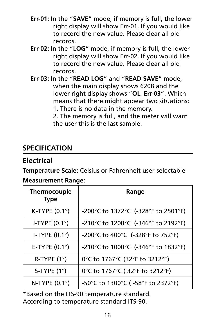- **Err-01:** In the "**SAVE**" mode, if memory is full, the lower right display will show Err-01. If you would like to record the new value. Please clear all old records.
- **Err-02:** In the "**LOG**" mode, if memory is full, the lower right display will show Err-02. If you would like to record the new value. Please clear all old records.
- **Err-03:** In the "**READ LOG**" and "**READ SAVE**" mode, when the main display shows 6208 and the lower right display shows "**OL, Err-03**". Which means that there might appear two situations:
	- 1. There is no data in the memory.
	- 2. The memory is full, and the meter will warn the user this is the last sample.

## **SPECIFICATION**

## **Electrical**

**Temperature Scale:** Celsius or Fahrenheit user-selectable

#### **Measurement Range:**

| <b>Thermocouple</b><br><b>Type</b> | Range                               |
|------------------------------------|-------------------------------------|
| K-TYPE $(0.1^\circ)$               | -200°C to 1372°C (-328°F to 2501°F) |
| J-TYPE $(0.1^\circ)$               | -210°C to 1200°C (-346°F to 2192°F) |
| T-TYPE $(0.1^\circ)$               | -200°C to 400°C (-328°F to 752°F)   |
| E-TYPE $(0.1^{\circ})$             | -210°C to 1000°C (-346°F to 1832°F) |
| $R-TYPE(1°)$                       | 0°C to 1767°C (32°F to 3212°F)      |
| S-TYPE $(1^{\circ})$               | 0°C to 1767°C (32°F to 3212°F)      |
| N-TYPE $(0.1^{\circ})$             | -50°C to 1300°C (-58°F to 2372°F)   |

\*Based on the ITS-90 temperature standard. According to temperature standard ITS-90.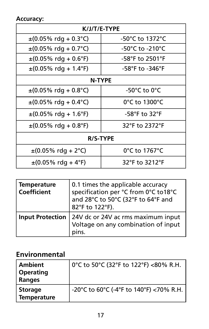**Accuracy:**

| K/J/T/E-TYPE                                     |                 |  |
|--------------------------------------------------|-----------------|--|
| $\pm (0.05\% \text{ rda} + 0.3\degree \text{C})$ | -50°C to 1372°C |  |
| $\pm (0.05\% \text{ rda} + 0.7\degree \text{C})$ | -50°C to -210°C |  |
| $\pm (0.05\% \text{ rdq} + 0.6\degree F)$        | -58°F to 2501°F |  |
| $\pm (0.05\% \text{ rdq} + 1.4\degree F)$        | -58°F to -346°F |  |
| N-TYPE                                           |                 |  |
| $\pm (0.05\% \text{ rda} + 0.8\degree \text{C})$ | -50°C to 0°C    |  |
| $\pm (0.05\% \text{ rdq} + 0.4\degree \text{C})$ | 0°C to 1300°C   |  |
| $\pm (0.05\% \text{ rdq} + 1.6\degree F)$        | -58°F to 32°F   |  |
| $\pm (0.05\% \text{ rdq} + 0.8\degree F)$        | 32°F to 2372°F  |  |
| <b>R/S-TYPE</b>                                  |                 |  |
| $\pm (0.05\% \text{ rdq} + 2^{\circ}\text{C})$   | 0°C to 1767°C   |  |
| $\pm (0.05\% \text{ rdq} + 4\degree F)$          | 32°F to 3212°F  |  |

| Temperature<br>Coefficient | 0.1 times the applicable accuracy<br>specification per °C from 0°C to18°C<br>and 28°C to 50°C (32°F to 64°F and<br>82°F to 122°F). |
|----------------------------|------------------------------------------------------------------------------------------------------------------------------------|
|                            | Input Protection   24V dc or 24V ac rms maximum input<br>Voltage on any combination of input<br>pins.                              |

## **Environmental**

| Ambient<br><b>Operating</b><br>Ranges | 0°C to 50°C (32°F to 122°F) <80% R.H.   |
|---------------------------------------|-----------------------------------------|
| Storage<br>Temperature                | -20°C to 60°C (-4°F to 140°F) <70% R.H. |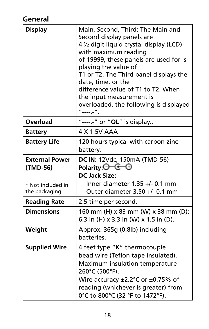# **General**

| <b>Display</b>                                                          | Main, Second, Third: The Main and<br>Second display panels are<br>4 1/2 digit liquid crystal display (LCD)<br>with maximum reading<br>of 19999, these panels are used for is<br>playing the value of<br>T1 or T2. The Third panel displays the<br>date, time, or the<br>difference value of T1 to T2. When<br>the input measurement is<br>overloaded, the following is displayed<br>"------". |
|-------------------------------------------------------------------------|-----------------------------------------------------------------------------------------------------------------------------------------------------------------------------------------------------------------------------------------------------------------------------------------------------------------------------------------------------------------------------------------------|
| Overload                                                                | "----.-" or "OL" is display                                                                                                                                                                                                                                                                                                                                                                   |
| <b>Battery</b>                                                          | 4 X 1.5V AAA                                                                                                                                                                                                                                                                                                                                                                                  |
| <b>Battery Life</b>                                                     | 120 hours typical with carbon zinc<br>battery.                                                                                                                                                                                                                                                                                                                                                |
| <b>External Power</b><br>(TMD-56)<br>* Not included in<br>the packaging | DC IN: 12Vdc, 150mA (TMD-56)<br>Polarity:⊖————⊙<br><b>DC Jack Size:</b><br>Inner diameter $1.35 +/- 0.1$ mm<br>Outer diameter 3.50 +/- 0.1 mm                                                                                                                                                                                                                                                 |
| <b>Reading Rate</b>                                                     | 2.5 time per second.                                                                                                                                                                                                                                                                                                                                                                          |
| <b>Dimensions</b>                                                       | 160 mm (H) x 83 mm (W) x 38 mm (D);<br>6.3 in (H) x 3.3 in (W) x 1.5 in (D).                                                                                                                                                                                                                                                                                                                  |
| Weight                                                                  | Approx. 365g (0.8lb) including<br>batteries.                                                                                                                                                                                                                                                                                                                                                  |
| <b>Supplied Wire</b>                                                    | 4 feet type "K" thermocouple<br>bead wire (Teflon tape insulated).<br>Maximum insulation temperature<br>260°C (500°F).<br>Wire accuracy $\pm 2.2^{\circ}$ C or $\pm 0.75$ % of<br>reading (whichever is greater) from<br>0°C to 800°C (32 °F to 1472°F).                                                                                                                                      |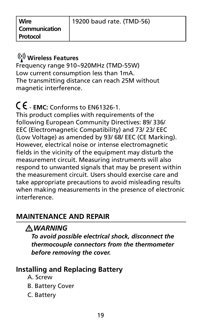**Wire Communication Protocol**

## **Wireless Features**

Frequency range 910~920MHz (TMD-55W) Low current consumption less than 1mA. The transmitting distance can reach 25M without magnetic interference.

# � - **EMC:** Conforms to EN61326-1.

This product complies with requirements of the following European Community Directives: 89/ 336/ EEC (Electromagnetic Compatibility) and 73/ 23/ EEC (Low Voltage) as amended by 93/ 68/ EEC (CE Marking). However, electrical noise or intense electromagnetic fields in the vicinity of the equipment may disturb the measurement circuit. Measuring instruments will also respond to unwanted signals that may be present within the measurement circuit. Users should exercise care and take appropriate precautions to avoid misleading results when making measurements in the presence of electronic interference.

## **MAINTENANCE AND REPAIR**

## �*WARNING*

*To avoid possible electrical shock, disconnect the thermocouple connectors from the thermometer before removing the cover.*

## **Installing and Replacing Battery**

- A. Screw
- B. Battery Cover
- C. Battery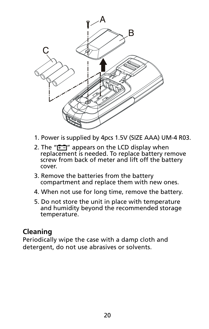

- 1. Power is supplied by 4pcs 1.5V (SIZE AAA) UM-4 R03.
- 2. The " $\overline{r}$ " appears on the LCD display when replacement is needed. To replace battery remove screw from back of meter and lift off the battery cover.
- 3. Remove the batteries from the battery compartment and replace them with new ones.
- 4. When not use for long time, remove the battery.
- 5. Do not store the unit in place with temperature and humidity beyond the recommended storage temperature.

#### **Cleaning**

Periodically wipe the case with a damp cloth and detergent, do not use abrasives or solvents.